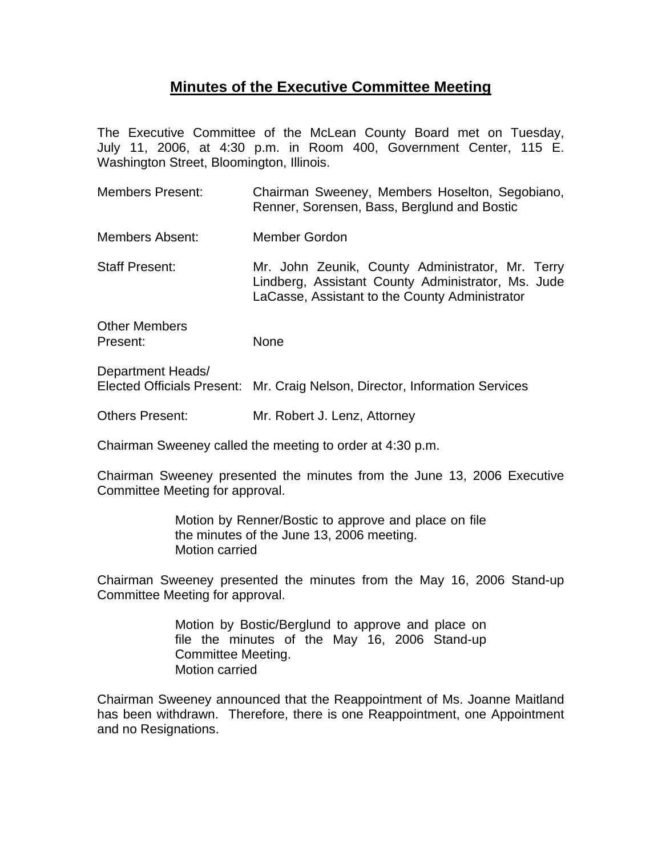## **Minutes of the Executive Committee Meeting**

The Executive Committee of the McLean County Board met on Tuesday, July 11, 2006, at 4:30 p.m. in Room 400, Government Center, 115 E. Washington Street, Bloomington, Illinois.

Members Present: Chairman Sweeney, Members Hoselton, Segobiano, Renner, Sorensen, Bass, Berglund and Bostic Members Absent: Member Gordon Staff Present: Mr. John Zeunik, County Administrator, Mr. Terry Lindberg, Assistant County Administrator, Ms. Jude LaCasse, Assistant to the County Administrator Other Members Present: None

Department Heads/ Elected Officials Present: Mr. Craig Nelson, Director, Information Services

Others Present: Mr. Robert J. Lenz, Attorney

Chairman Sweeney called the meeting to order at 4:30 p.m.

Chairman Sweeney presented the minutes from the June 13, 2006 Executive Committee Meeting for approval.

> Motion by Renner/Bostic to approve and place on file the minutes of the June 13, 2006 meeting. Motion carried

Chairman Sweeney presented the minutes from the May 16, 2006 Stand-up Committee Meeting for approval.

> Motion by Bostic/Berglund to approve and place on file the minutes of the May 16, 2006 Stand-up Committee Meeting. Motion carried

Chairman Sweeney announced that the Reappointment of Ms. Joanne Maitland has been withdrawn. Therefore, there is one Reappointment, one Appointment and no Resignations.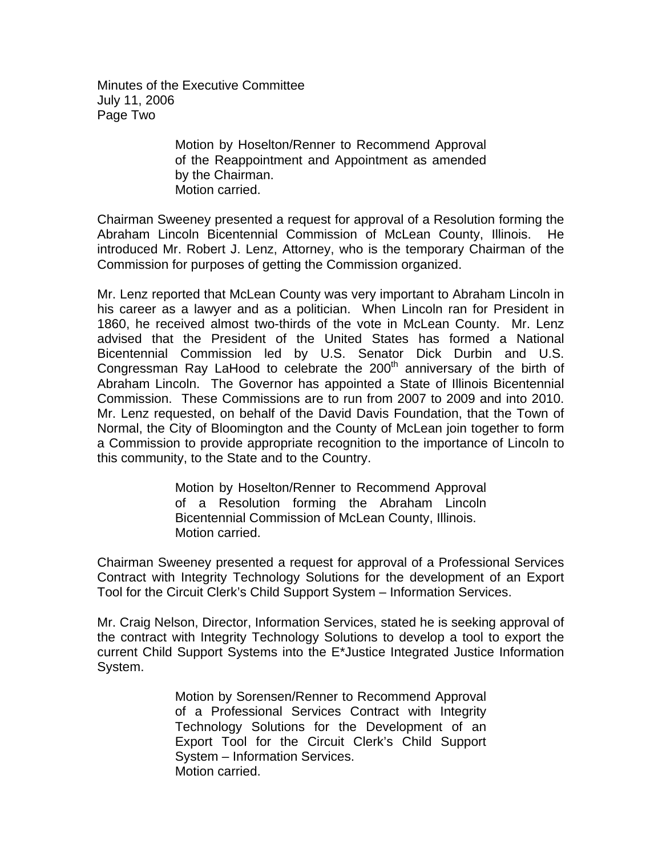Minutes of the Executive Committee July 11, 2006 Page Two

> Motion by Hoselton/Renner to Recommend Approval of the Reappointment and Appointment as amended by the Chairman. Motion carried.

Chairman Sweeney presented a request for approval of a Resolution forming the Abraham Lincoln Bicentennial Commission of McLean County, Illinois. He introduced Mr. Robert J. Lenz, Attorney, who is the temporary Chairman of the Commission for purposes of getting the Commission organized.

Mr. Lenz reported that McLean County was very important to Abraham Lincoln in his career as a lawyer and as a politician. When Lincoln ran for President in 1860, he received almost two-thirds of the vote in McLean County. Mr. Lenz advised that the President of the United States has formed a National Bicentennial Commission led by U.S. Senator Dick Durbin and U.S. Congressman Ray LaHood to celebrate the  $200<sup>th</sup>$  anniversary of the birth of Abraham Lincoln. The Governor has appointed a State of Illinois Bicentennial Commission. These Commissions are to run from 2007 to 2009 and into 2010. Mr. Lenz requested, on behalf of the David Davis Foundation, that the Town of Normal, the City of Bloomington and the County of McLean join together to form a Commission to provide appropriate recognition to the importance of Lincoln to this community, to the State and to the Country.

> Motion by Hoselton/Renner to Recommend Approval of a Resolution forming the Abraham Lincoln Bicentennial Commission of McLean County, Illinois. Motion carried.

Chairman Sweeney presented a request for approval of a Professional Services Contract with Integrity Technology Solutions for the development of an Export Tool for the Circuit Clerk's Child Support System – Information Services.

Mr. Craig Nelson, Director, Information Services, stated he is seeking approval of the contract with Integrity Technology Solutions to develop a tool to export the current Child Support Systems into the E\*Justice Integrated Justice Information System.

> Motion by Sorensen/Renner to Recommend Approval of a Professional Services Contract with Integrity Technology Solutions for the Development of an Export Tool for the Circuit Clerk's Child Support System – Information Services. Motion carried.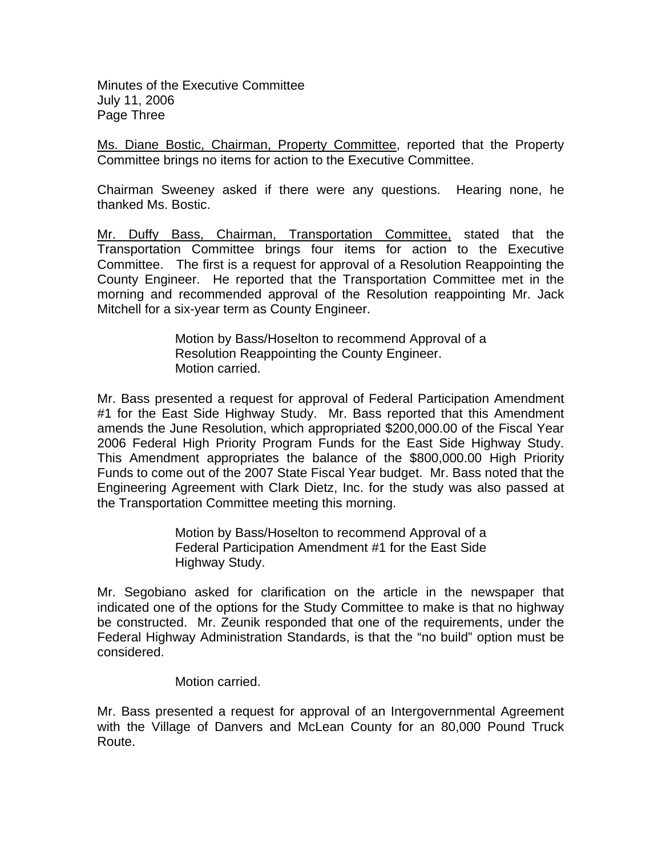Minutes of the Executive Committee July 11, 2006 Page Three

Ms. Diane Bostic, Chairman, Property Committee, reported that the Property Committee brings no items for action to the Executive Committee.

Chairman Sweeney asked if there were any questions. Hearing none, he thanked Ms. Bostic.

Mr. Duffy Bass, Chairman, Transportation Committee, stated that the Transportation Committee brings four items for action to the Executive Committee. The first is a request for approval of a Resolution Reappointing the County Engineer. He reported that the Transportation Committee met in the morning and recommended approval of the Resolution reappointing Mr. Jack Mitchell for a six-year term as County Engineer.

> Motion by Bass/Hoselton to recommend Approval of a Resolution Reappointing the County Engineer. Motion carried.

Mr. Bass presented a request for approval of Federal Participation Amendment #1 for the East Side Highway Study. Mr. Bass reported that this Amendment amends the June Resolution, which appropriated \$200,000.00 of the Fiscal Year 2006 Federal High Priority Program Funds for the East Side Highway Study. This Amendment appropriates the balance of the \$800,000.00 High Priority Funds to come out of the 2007 State Fiscal Year budget. Mr. Bass noted that the Engineering Agreement with Clark Dietz, Inc. for the study was also passed at the Transportation Committee meeting this morning.

> Motion by Bass/Hoselton to recommend Approval of a Federal Participation Amendment #1 for the East Side Highway Study.

Mr. Segobiano asked for clarification on the article in the newspaper that indicated one of the options for the Study Committee to make is that no highway be constructed. Mr. Zeunik responded that one of the requirements, under the Federal Highway Administration Standards, is that the "no build" option must be considered.

Motion carried.

Mr. Bass presented a request for approval of an Intergovernmental Agreement with the Village of Danvers and McLean County for an 80,000 Pound Truck Route.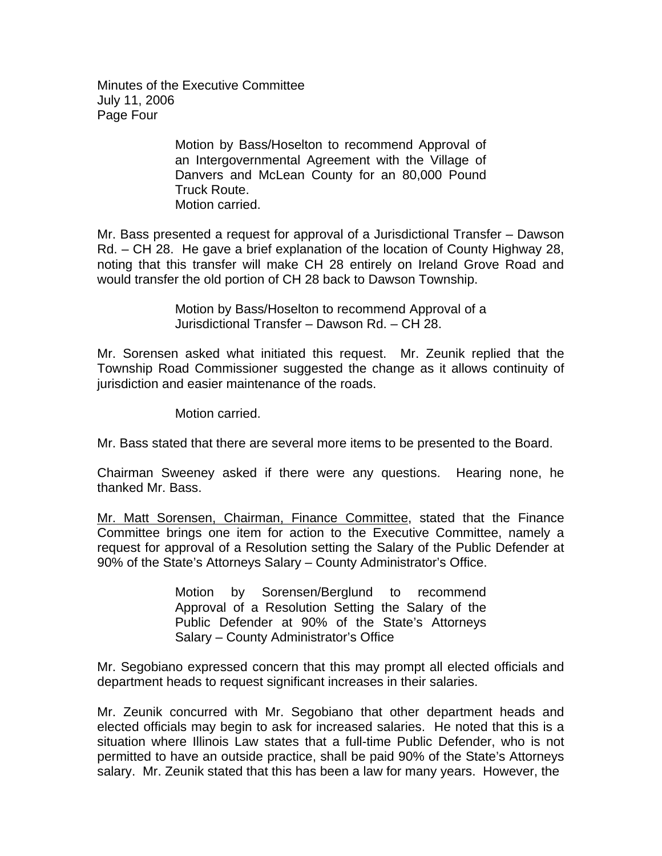Minutes of the Executive Committee July 11, 2006 Page Four

> Motion by Bass/Hoselton to recommend Approval of an Intergovernmental Agreement with the Village of Danvers and McLean County for an 80,000 Pound Truck Route. Motion carried.

Mr. Bass presented a request for approval of a Jurisdictional Transfer – Dawson Rd. – CH 28. He gave a brief explanation of the location of County Highway 28, noting that this transfer will make CH 28 entirely on Ireland Grove Road and would transfer the old portion of CH 28 back to Dawson Township.

> Motion by Bass/Hoselton to recommend Approval of a Jurisdictional Transfer – Dawson Rd. – CH 28.

Mr. Sorensen asked what initiated this request. Mr. Zeunik replied that the Township Road Commissioner suggested the change as it allows continuity of jurisdiction and easier maintenance of the roads.

Motion carried.

Mr. Bass stated that there are several more items to be presented to the Board.

Chairman Sweeney asked if there were any questions. Hearing none, he thanked Mr. Bass.

Mr. Matt Sorensen, Chairman, Finance Committee, stated that the Finance Committee brings one item for action to the Executive Committee, namely a request for approval of a Resolution setting the Salary of the Public Defender at 90% of the State's Attorneys Salary – County Administrator's Office.

> Motion by Sorensen/Berglund to recommend Approval of a Resolution Setting the Salary of the Public Defender at 90% of the State's Attorneys Salary – County Administrator's Office

Mr. Segobiano expressed concern that this may prompt all elected officials and department heads to request significant increases in their salaries.

Mr. Zeunik concurred with Mr. Segobiano that other department heads and elected officials may begin to ask for increased salaries. He noted that this is a situation where Illinois Law states that a full-time Public Defender, who is not permitted to have an outside practice, shall be paid 90% of the State's Attorneys salary. Mr. Zeunik stated that this has been a law for many years. However, the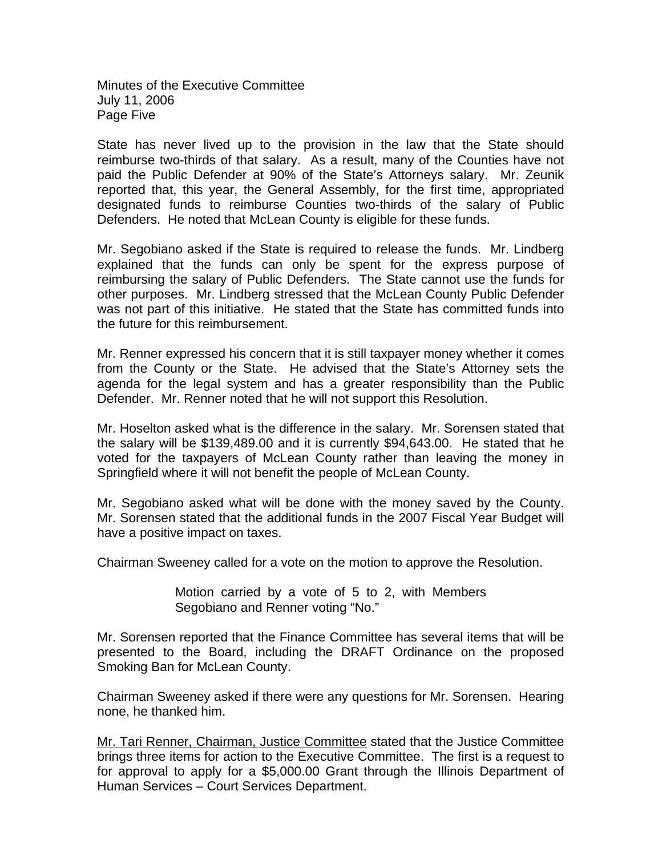Minutes of the Executive Committee July 11, 2006 Page Five

State has never lived up to the provision in the law that the State should reimburse two-thirds of that salary. As a result, many of the Counties have not paid the Public Defender at 90% of the State's Attorneys salary. Mr. Zeunik reported that, this year, the General Assembly, for the first time, appropriated designated funds to reimburse Counties two-thirds of the salary of Public Defenders. He noted that McLean County is eligible for these funds.

Mr. Segobiano asked if the State is required to release the funds. Mr. Lindberg explained that the funds can only be spent for the express purpose of reimbursing the salary of Public Defenders. The State cannot use the funds for other purposes. Mr. Lindberg stressed that the McLean County Public Defender was not part of this initiative. He stated that the State has committed funds into the future for this reimbursement.

Mr. Renner expressed his concern that it is still taxpayer money whether it comes from the County or the State. He advised that the State's Attorney sets the agenda for the legal system and has a greater responsibility than the Public Defender. Mr. Renner noted that he will not support this Resolution.

Mr. Hoselton asked what is the difference in the salary. Mr. Sorensen stated that the salary will be \$139,489.00 and it is currently \$94,643.00. He stated that he voted for the taxpayers of McLean County rather than leaving the money in Springfield where it will not benefit the people of McLean County.

Mr. Segobiano asked what will be done with the money saved by the County. Mr. Sorensen stated that the additional funds in the 2007 Fiscal Year Budget will have a positive impact on taxes.

Chairman Sweeney called for a vote on the motion to approve the Resolution.

Motion carried by a vote of 5 to 2, with Members Segobiano and Renner voting "No."

Mr. Sorensen reported that the Finance Committee has several items that will be presented to the Board, including the DRAFT Ordinance on the proposed Smoking Ban for McLean County.

Chairman Sweeney asked if there were any questions for Mr. Sorensen. Hearing none, he thanked him.

Mr. Tari Renner, Chairman, Justice Committee stated that the Justice Committee brings three items for action to the Executive Committee.The first is a request to for approval to apply for a \$5,000.00 Grant through the Illinois Department of Human Services – Court Services Department.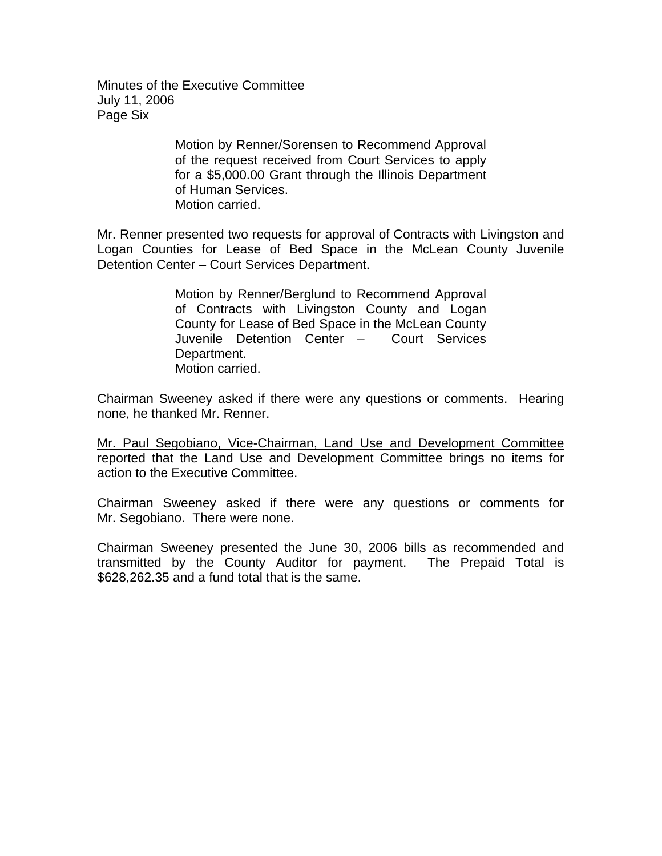Minutes of the Executive Committee July 11, 2006 Page Six

> Motion by Renner/Sorensen to Recommend Approval of the request received from Court Services to apply for a \$5,000.00 Grant through the Illinois Department of Human Services. Motion carried.

Mr. Renner presented two requests for approval of Contracts with Livingston and Logan Counties for Lease of Bed Space in the McLean County Juvenile Detention Center – Court Services Department.

> Motion by Renner/Berglund to Recommend Approval of Contracts with Livingston County and Logan County for Lease of Bed Space in the McLean County Juvenile Detention Center – Court Services Department. Motion carried.

Chairman Sweeney asked if there were any questions or comments. Hearing none, he thanked Mr. Renner.

Mr. Paul Segobiano, Vice-Chairman, Land Use and Development Committee reported that the Land Use and Development Committee brings no items for action to the Executive Committee.

Chairman Sweeney asked if there were any questions or comments for Mr. Segobiano. There were none.

Chairman Sweeney presented the June 30, 2006 bills as recommended and transmitted by the County Auditor for payment. The Prepaid Total is \$628,262.35 and a fund total that is the same.